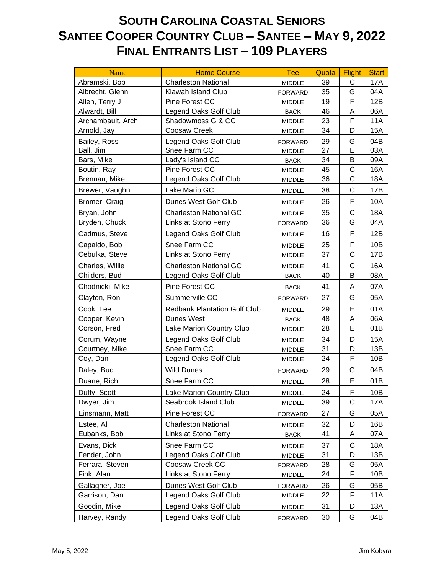## **SOUTH CAROLINA COASTAL SENIORS SANTEE COOPER COUNTRY CLUB – SANTEE – MAY 9, 2022 FINAL ENTRANTS LIST – 109 PLAYERS**

| Name              | <b>Home Course</b>                  | <b>Tee</b>     | Quota | <b>Flight</b> | <b>Start</b> |
|-------------------|-------------------------------------|----------------|-------|---------------|--------------|
| Abramski, Bob     | <b>Charleston National</b>          | <b>MIDDLE</b>  | 39    | C             | 17A          |
| Albrecht, Glenn   | Kiawah Island Club                  | <b>FORWARD</b> | 35    | G             | 04A          |
| Allen, Terry J    | Pine Forest CC                      | MIDDLE         | 19    | F             | 12B          |
| Alwardt, Bill     | Legend Oaks Golf Club               | <b>BACK</b>    | 46    | Α             | 06A          |
| Archambault, Arch | Shadowmoss G & CC                   | <b>MIDDLE</b>  | 23    | F             | <b>11A</b>   |
| Arnold, Jay       | Coosaw Creek                        | <b>MIDDLE</b>  | 34    | D             | <b>15A</b>   |
| Bailey, Ross      | Legend Oaks Golf Club               | <b>FORWARD</b> | 29    | G             | 04B          |
| Ball, Jim         | Snee Farm CC                        | <b>MIDDLE</b>  | 27    | E             | 03A          |
| Bars, Mike        | Lady's Island CC                    | <b>BACK</b>    | 34    | B             | 09A          |
| Boutin, Ray       | Pine Forest CC                      | <b>MIDDLE</b>  | 45    | $\mathsf C$   | 16A          |
| Brennan, Mike     | Legend Oaks Golf Club               | <b>MIDDLE</b>  | 36    | $\mathsf{C}$  | 18A          |
| Brewer, Vaughn    | Lake Marib GC                       | <b>MIDDLE</b>  | 38    | $\mathsf{C}$  | 17B          |
| Bromer, Craig     | Dunes West Golf Club                | <b>MIDDLE</b>  | 26    | F             | 10A          |
| Bryan, John       | <b>Charleston National GC</b>       | <b>MIDDLE</b>  | 35    | $\mathsf{C}$  | <b>18A</b>   |
| Bryden, Chuck     | Links at Stono Ferry                | <b>FORWARD</b> | 36    | G             | 04A          |
| Cadmus, Steve     | Legend Oaks Golf Club               | MIDDLE         | 16    | F             | 12B          |
| Capaldo, Bob      | Snee Farm CC                        | <b>MIDDLE</b>  | 25    | F             | 10B          |
| Cebulka, Steve    | Links at Stono Ferry                | MIDDLE         | 37    | C             | 17B          |
| Charles, Willie   | <b>Charleston National GC</b>       | <b>MIDDLE</b>  | 41    | $\mathsf{C}$  | 16A          |
| Childers, Bud     | Legend Oaks Golf Club               | <b>BACK</b>    | 40    | B             | 08A          |
| Chodnicki, Mike   | Pine Forest CC                      | <b>BACK</b>    | 41    | A             | 07A          |
| Clayton, Ron      | Summerville CC                      | <b>FORWARD</b> | 27    | G             | 05A          |
| Cook, Lee         | <b>Redbank Plantation Golf Club</b> | <b>MIDDLE</b>  | 29    | E             | 01A          |
| Cooper, Kevin     | Dunes West                          | <b>BACK</b>    | 48    | A             | 06A          |
| Corson, Fred      | Lake Marion Country Club            | MIDDLE         | 28    | E             | 01B          |
| Corum, Wayne      | Legend Oaks Golf Club               | MIDDLE         | 34    | D             | <b>15A</b>   |
| Courtney, Mike    | Snee Farm CC                        | <b>MIDDLE</b>  | 31    | D             | 13B          |
| Coy, Dan          | Legend Oaks Golf Club               | MIDDLE         | 24    | F             | 10B          |
| Daley, Bud        | <b>Wild Dunes</b>                   | <b>FORWARD</b> | 29    | G             | 04B          |
| Duane, Rich       | Snee Farm CC                        | <b>MIDDLE</b>  | 28    | Е             | 01B          |
| Duffy, Scott      | Lake Marion Country Club            | MIDDLE         | 24    | F             | 10B          |
| Dwyer, Jim        | Seabrook Island Club                | MIDDLE         | 39    | С             | 17A          |
| Einsmann, Matt    | Pine Forest CC                      | <b>FORWARD</b> | 27    | G             | 05A          |
| Estee, Al         | <b>Charleston National</b>          | <b>MIDDLE</b>  | 32    | D             | 16B          |
| Eubanks, Bob      | Links at Stono Ferry                | <b>BACK</b>    | 41    | Α             | 07A          |
| Evans, Dick       | Snee Farm CC                        | <b>MIDDLE</b>  | 37    | C             | 18A          |
| Fender, John      | Legend Oaks Golf Club               | <b>MIDDLE</b>  | 31    | D             | 13B          |
| Ferrara, Steven   | Coosaw Creek CC                     | <b>FORWARD</b> | 28    | G             | 05A          |
| Fink, Alan        | Links at Stono Ferry                | MIDDLE         | 24    | F             | 10B          |
| Gallagher, Joe    | Dunes West Golf Club                | <b>FORWARD</b> | 26    | G             | 05B          |
| Garrison, Dan     | Legend Oaks Golf Club               | MIDDLE         | 22    | F             | 11A          |
| Goodin, Mike      | Legend Oaks Golf Club               | MIDDLE         | 31    | D             | 13A          |
| Harvey, Randy     | Legend Oaks Golf Club               | <b>FORWARD</b> | 30    | G             | 04B          |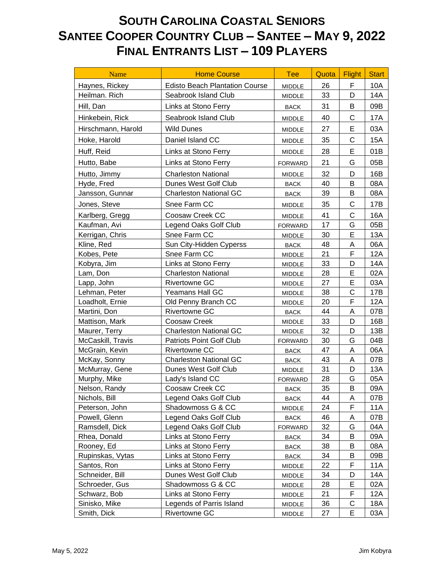## **SOUTH CAROLINA COASTAL SENIORS SANTEE COOPER COUNTRY CLUB – SANTEE – MAY 9, 2022 FINAL ENTRANTS LIST – 109 PLAYERS**

| <b>Name</b>        | <b>Home Course</b>                    | <b>Tee</b>     | Quota | <b>Flight</b> | <b>Start</b> |
|--------------------|---------------------------------------|----------------|-------|---------------|--------------|
| Haynes, Rickey     | <b>Edisto Beach Plantation Course</b> | <b>MIDDLE</b>  | 26    | F             | 10A          |
| Heilman. Rich      | Seabrook Island Club                  | <b>MIDDLE</b>  | 33    | D             | 14A          |
| Hill, Dan          | Links at Stono Ferry                  | <b>BACK</b>    | 31    | B             | 09B          |
| Hinkebein, Rick    | Seabrook Island Club                  | <b>MIDDLE</b>  | 40    | С             | 17A          |
| Hirschmann, Harold | <b>Wild Dunes</b>                     | MIDDLE         | 27    | E             | 03A          |
| Hoke, Harold       | Daniel Island CC                      | <b>MIDDLE</b>  | 35    | C             | 15A          |
| Huff, Reid         | Links at Stono Ferry                  | <b>MIDDLE</b>  | 28    | Е             | 01B          |
| Hutto, Babe        | Links at Stono Ferry                  | <b>FORWARD</b> | 21    | G             | 05B          |
| Hutto, Jimmy       | <b>Charleston National</b>            | <b>MIDDLE</b>  | 32    | D             | 16B          |
| Hyde, Fred         | Dunes West Golf Club                  | <b>BACK</b>    | 40    | B             | 08A          |
| Jansson, Gunnar    | <b>Charleston National GC</b>         | <b>BACK</b>    | 39    | B             | 08A          |
| Jones, Steve       | Snee Farm CC                          | <b>MIDDLE</b>  | 35    | С             | 17B          |
| Karlberg, Gregg    | Coosaw Creek CC                       | <b>MIDDLE</b>  | 41    | C             | 16A          |
| Kaufman, Avi       | Legend Oaks Golf Club                 | <b>FORWARD</b> | 17    | G             | 05B          |
| Kerrigan, Chris    | Snee Farm CC                          | <b>MIDDLE</b>  | 30    | E             | 13A          |
| Kline, Red         | Sun City-Hidden Cyperss               | <b>BACK</b>    | 48    | A             | 06A          |
| Kobes, Pete        | Snee Farm CC                          | MIDDLE         | 21    | F             | 12A          |
| Kobyra, Jim        | Links at Stono Ferry                  | MIDDLE         | 33    | D             | 14A          |
| Lam, Don           | <b>Charleston National</b>            | MIDDLE         | 28    | E             | 02A          |
| Lapp, John         | <b>Rivertowne GC</b>                  | MIDDLE         | 27    | E             | 03A          |
| Lehman, Peter      | <b>Yeamans Hall GC</b>                | MIDDLE         | 38    | $\mathsf{C}$  | 17B          |
| Loadholt, Ernie    | Old Penny Branch CC                   | <b>MIDDLE</b>  | 20    | F             | 12A          |
| Martini, Don       | <b>Rivertowne GC</b>                  | <b>BACK</b>    | 44    | A             | 07B          |
| Mattison, Mark     | Coosaw Creek                          | <b>MIDDLE</b>  | 33    | D             | 16B          |
| Maurer, Terry      | <b>Charleston National GC</b>         | MIDDLE         | 32    | D             | 13B          |
| McCaskill, Travis  | Patriots Point Golf Club              | <b>FORWARD</b> | 30    | G             | 04B          |
| McGrain, Kevin     | Rivertowne CC                         | <b>BACK</b>    | 47    | Α             | 06A          |
| McKay, Sonny       | <b>Charleston National GC</b>         | <b>BACK</b>    | 43    | Α             | 07B          |
| McMurray, Gene     | Dunes West Golf Club                  | <b>MIDDLE</b>  | 31    | D             | 13A          |
| Murphy, Mike       | Lady's Island CC                      | <b>FORWARD</b> | 28    | G             | 05A          |
| Nelson, Randy      | Coosaw Creek CC                       | <b>BACK</b>    | 35    | В             | 09A          |
| Nichols, Bill      | Legend Oaks Golf Club                 | <b>BACK</b>    | 44    | Α             | 07B          |
| Peterson, John     | Shadowmoss G & CC                     | MIDDLE         | 24    | F             | 11A          |
| Powell, Glenn      | Legend Oaks Golf Club                 | <b>BACK</b>    | 46    | A             | 07B          |
| Ramsdell, Dick     | Legend Oaks Golf Club                 | <b>FORWARD</b> | 32    | G             | 04A          |
| Rhea, Donald       | Links at Stono Ferry                  | <b>BACK</b>    | 34    | В             | 09A          |
| Rooney, Ed         | Links at Stono Ferry                  | <b>BACK</b>    | 38    | B             | 08A          |
| Rupinskas, Vytas   | Links at Stono Ferry                  | <b>BACK</b>    | 34    | Β             | 09B          |
| Santos, Ron        | Links at Stono Ferry                  | MIDDLE         | 22    | F             | 11A          |
| Schneider, Bill    | Dunes West Golf Club                  | MIDDLE         | 34    | D             | 14A          |
| Schroeder, Gus     | Shadowmoss G & CC                     | MIDDLE         | 28    | Е             | 02A          |
| Schwarz, Bob       | Links at Stono Ferry                  | MIDDLE         | 21    | F             | 12A          |
| Sinisko, Mike      | Legends of Parris Island              | MIDDLE         | 36    | С             | 18A          |
| Smith, Dick        | Rivertowne GC                         | MIDDLE         | 27    | E             | 03A          |